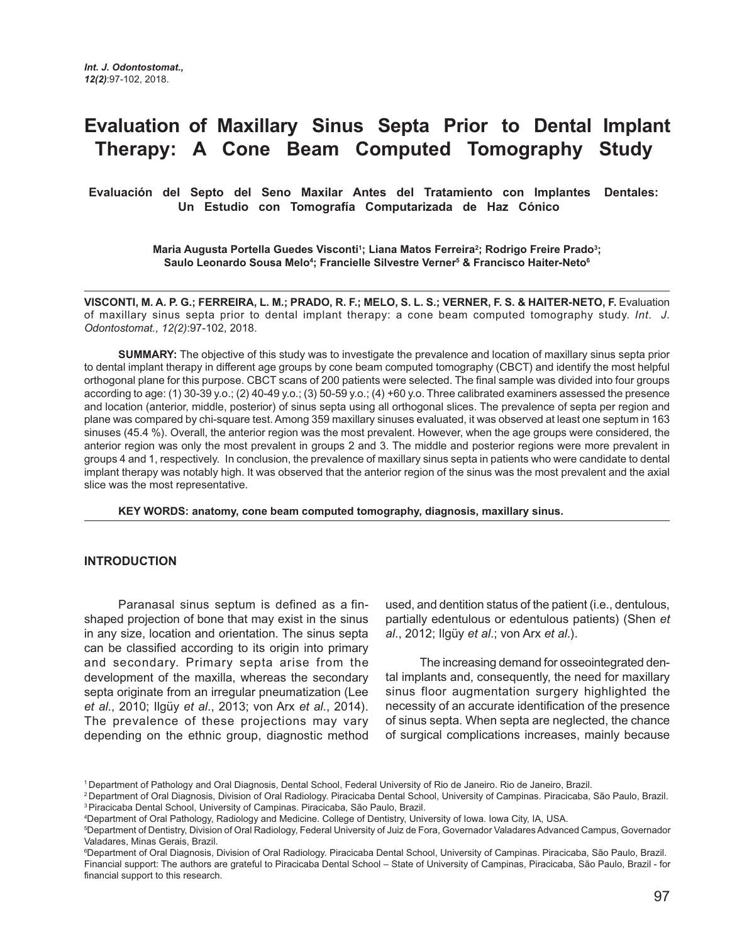# **Evaluation of Maxillary Sinus Septa Prior to Dental Implant Therapy: A Cone Beam Computed Tomography Study**

**Evaluación del Septo del Seno Maxilar Antes del Tratamiento con Implantes Dentales: Un Estudio con Tomografía Computarizada de Haz Cónico** 

> **Maria Augusta Portella Guedes Visconti1 ; Liana Matos Ferreira2 ; Rodrigo Freire Prado3 ; Saulo Leonardo Sousa Melo4 ; Francielle Silvestre Verner5 & Francisco Haiter-Neto6**

**VISCONTI, M. A. P. G.; FERREIRA, L. M.; PRADO, R. F.; MELO, S. L. S.; VERNER, F. S. & HAITER-NETO, F. Evaluation** of maxillary sinus septa prior to dental implant therapy: a cone beam computed tomography study. *Int. J. Odontostomat., 12(2)*:97-102, 2018.

**SUMMARY:** The objective of this study was to investigate the prevalence and location of maxillary sinus septa prior to dental implant therapy in different age groups by cone beam computed tomography (CBCT) and identify the most helpful orthogonal plane for this purpose. CBCT scans of 200 patients were selected. The final sample was divided into four groups according to age: (1) 30-39 y.o.; (2) 40-49 y.o.; (3) 50-59 y.o.; (4) +60 y.o. Three calibrated examiners assessed the presence and location (anterior, middle, posterior) of sinus septa using all orthogonal slices. The prevalence of septa per region and plane was compared by chi-square test. Among 359 maxillary sinuses evaluated, it was observed at least one septum in 163 sinuses (45.4 %). Overall, the anterior region was the most prevalent. However, when the age groups were considered, the anterior region was only the most prevalent in groups 2 and 3. The middle and posterior regions were more prevalent in groups 4 and 1, respectively. In conclusion, the prevalence of maxillary sinus septa in patients who were candidate to dental implant therapy was notably high. It was observed that the anterior region of the sinus was the most prevalent and the axial slice was the most representative.

**KEY WORDS: anatomy, cone beam computed tomography, diagnosis, maxillary sinus.**

# **INTRODUCTION**

Paranasal sinus septum is defined as a finshaped projection of bone that may exist in the sinus in any size, location and orientation. The sinus septa can be classified according to its origin into primary and secondary. Primary septa arise from the development of the maxilla, whereas the secondary septa originate from an irregular pneumatization (Lee *et al*., 2010; Ilgüy *et al*., 2013; von Arx *et al*., 2014). The prevalence of these projections may vary depending on the ethnic group, diagnostic method used, and dentition status of the patient (i.e., dentulous, partially edentulous or edentulous patients) (Shen *et al*., 2012; Ilgüy *et al*.; von Arx *et al*.).

The increasing demand for osseointegrated dental implants and, consequently, the need for maxillary sinus floor augmentation surgery highlighted the necessity of an accurate identification of the presence of sinus septa. When septa are neglected, the chance of surgical complications increases, mainly because

<sup>1</sup> Department of Pathology and Oral Diagnosis, Dental School, Federal University of Rio de Janeiro. Rio de Janeiro, Brazil.

<sup>2</sup> Department of Oral Diagnosis, Division of Oral Radiology. Piracicaba Dental School, University of Campinas. Piracicaba, São Paulo, Brazil. 3 Piracicaba Dental School, University of Campinas. Piracicaba, São Paulo, Brazil.

<sup>4</sup> Department of Oral Pathology, Radiology and Medicine. College of Dentistry, University of Iowa. Iowa City, IA, USA.

<sup>5</sup> Department of Dentistry, Division of Oral Radiology, Federal University of Juiz de Fora, Governador Valadares Advanced Campus, Governador Valadares, Minas Gerais, Brazil.

<sup>6</sup> Department of Oral Diagnosis, Division of Oral Radiology. Piracicaba Dental School, University of Campinas. Piracicaba, São Paulo, Brazil. Financial support: The authors are grateful to Piracicaba Dental School – State of University of Campinas, Piracicaba, São Paulo, Brazil - for financial support to this research.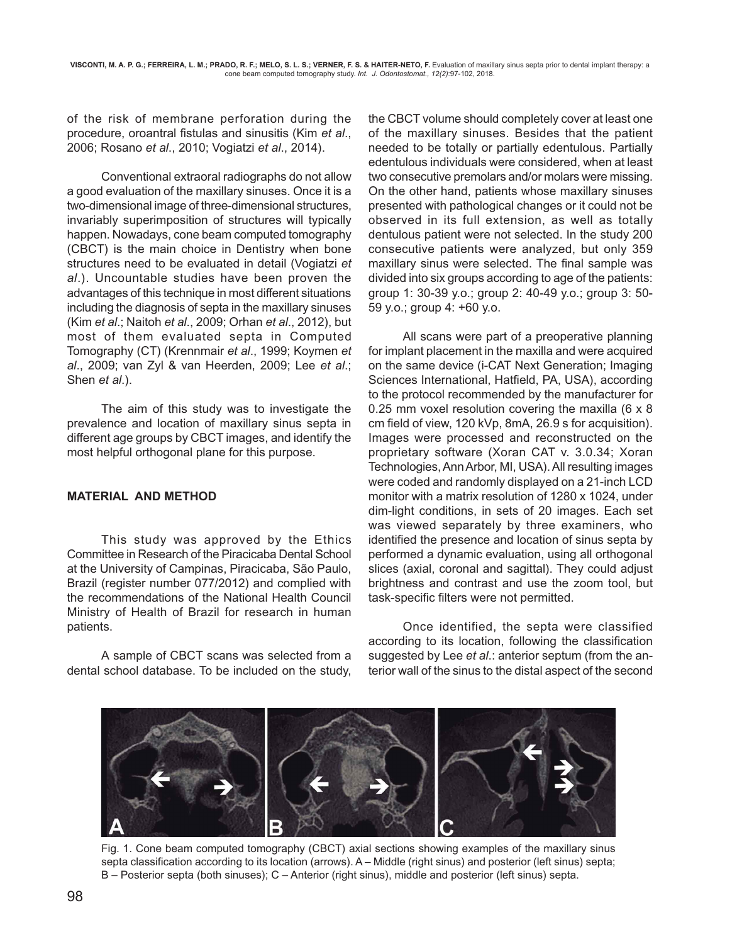of the risk of membrane perforation during the procedure, oroantral fistulas and sinusitis (Kim *et al*., 2006; Rosano *et al*., 2010; Vogiatzi *et al*., 2014).

Conventional extraoral radiographs do not allow a good evaluation of the maxillary sinuses. Once it is a two-dimensional image of three-dimensional structures, invariably superimposition of structures will typically happen. Nowadays, cone beam computed tomography (CBCT) is the main choice in Dentistry when bone structures need to be evaluated in detail (Vogiatzi *et al*.). Uncountable studies have been proven the advantages of this technique in most different situations including the diagnosis of septa in the maxillary sinuses (Kim *et al*.; Naitoh *et al*., 2009; Orhan *et al*., 2012), but most of them evaluated septa in Computed Tomography (CT) (Krennmair *et al*., 1999; Koymen *et al*., 2009; van Zyl & van Heerden, 2009; Lee *et al*.; Shen *et al*.).

The aim of this study was to investigate the prevalence and location of maxillary sinus septa in different age groups by CBCT images, and identify the most helpful orthogonal plane for this purpose.

## **MATERIAL AND METHOD**

This study was approved by the Ethics Committee in Research of the Piracicaba Dental School at the University of Campinas, Piracicaba, São Paulo, Brazil (register number 077/2012) and complied with the recommendations of the National Health Council Ministry of Health of Brazil for research in human patients.

A sample of CBCT scans was selected from a dental school database. To be included on the study, the CBCT volume should completely cover at least one of the maxillary sinuses. Besides that the patient needed to be totally or partially edentulous. Partially edentulous individuals were considered, when at least two consecutive premolars and/or molars were missing. On the other hand, patients whose maxillary sinuses presented with pathological changes or it could not be observed in its full extension, as well as totally dentulous patient were not selected. In the study 200 consecutive patients were analyzed, but only 359 maxillary sinus were selected. The final sample was divided into six groups according to age of the patients: group 1: 30-39 y.o.; group 2: 40-49 y.o.; group 3: 50- 59 y.o.; group 4: +60 y.o.

 All scans were part of a preoperative planning for implant placement in the maxilla and were acquired on the same device (i-CAT Next Generation; Imaging Sciences International, Hatfield, PA, USA), according to the protocol recommended by the manufacturer for 0.25 mm voxel resolution covering the maxilla (6 x 8 cm field of view, 120 kVp, 8mA, 26.9 s for acquisition). Images were processed and reconstructed on the proprietary software (Xoran CAT v. 3.0.34; Xoran Technologies, Ann Arbor, MI, USA). All resulting images were coded and randomly displayed on a 21-inch LCD monitor with a matrix resolution of 1280 x 1024, under dim-light conditions, in sets of 20 images. Each set was viewed separately by three examiners, who identified the presence and location of sinus septa by performed a dynamic evaluation, using all orthogonal slices (axial, coronal and sagittal). They could adjust brightness and contrast and use the zoom tool, but task-specific filters were not permitted.

Once identified, the septa were classified according to its location, following the classification suggested by Lee *et al*.: anterior septum (from the anterior wall of the sinus to the distal aspect of the second



Fig. 1. Cone beam computed tomography (CBCT) axial sections showing examples of the maxillary sinus septa classification according to its location (arrows). A – Middle (right sinus) and posterior (left sinus) septa; B – Posterior septa (both sinuses); C – Anterior (right sinus), middle and posterior (left sinus) septa.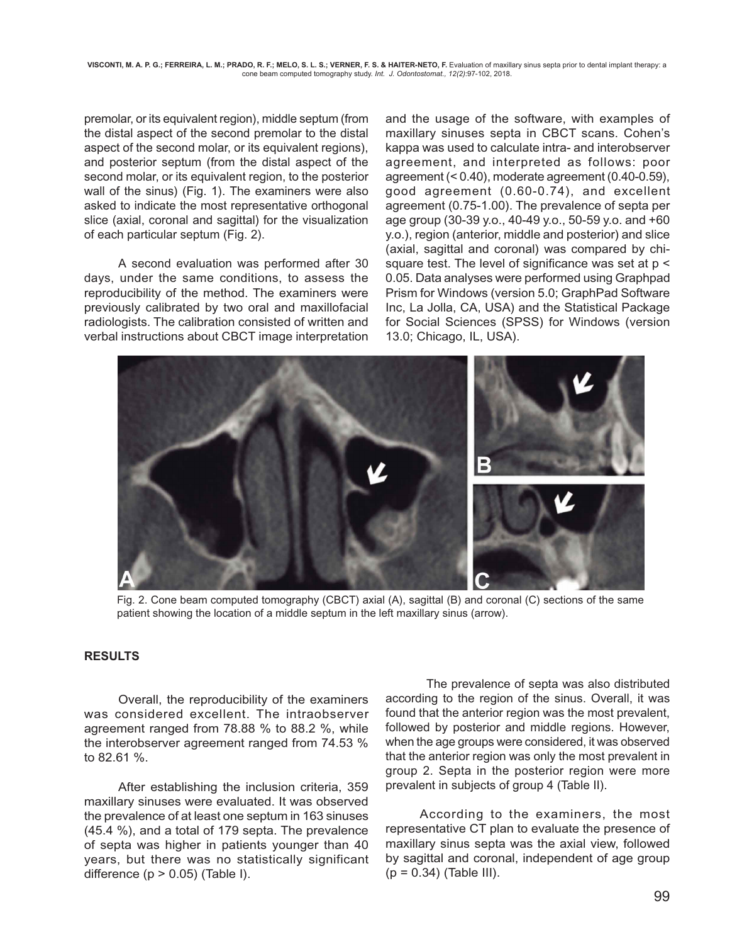premolar, or its equivalent region), middle septum (from the distal aspect of the second premolar to the distal aspect of the second molar, or its equivalent regions), and posterior septum (from the distal aspect of the second molar, or its equivalent region, to the posterior wall of the sinus) (Fig. 1). The examiners were also asked to indicate the most representative orthogonal slice (axial, coronal and sagittal) for the visualization of each particular septum (Fig. 2).

A second evaluation was performed after 30 days, under the same conditions, to assess the reproducibility of the method. The examiners were previously calibrated by two oral and maxillofacial radiologists. The calibration consisted of written and verbal instructions about CBCT image interpretation

and the usage of the software, with examples of maxillary sinuses septa in CBCT scans. Cohen's kappa was used to calculate intra- and interobserver agreement, and interpreted as follows: poor agreement (< 0.40), moderate agreement (0.40-0.59), good agreement (0.60-0.74), and excellent agreement (0.75-1.00). The prevalence of septa per age group (30-39 y.o., 40-49 y.o., 50-59 y.o. and +60 y.o.), region (anterior, middle and posterior) and slice (axial, sagittal and coronal) was compared by chisquare test. The level of significance was set at p < 0.05. Data analyses were performed using Graphpad Prism for Windows (version 5.0; GraphPad Software Inc, La Jolla, CA, USA) and the Statistical Package for Social Sciences (SPSS) for Windows (version 13.0; Chicago, IL, USA).



Fig. 2. Cone beam computed tomography (CBCT) axial (A), sagittal (B) and coronal (C) sections of the same patient showing the location of a middle septum in the left maxillary sinus (arrow).

#### **RESULTS**

Overall, the reproducibility of the examiners was considered excellent. The intraobserver agreement ranged from 78.88 % to 88.2 %, while the interobserver agreement ranged from 74.53 % to 82.61 %.

After establishing the inclusion criteria, 359 maxillary sinuses were evaluated. It was observed the prevalence of at least one septum in 163 sinuses (45.4 %), and a total of 179 septa. The prevalence of septa was higher in patients younger than 40 years, but there was no statistically significant difference  $(p > 0.05)$  (Table I).

 The prevalence of septa was also distributed according to the region of the sinus. Overall, it was found that the anterior region was the most prevalent, followed by posterior and middle regions. However, when the age groups were considered, it was observed that the anterior region was only the most prevalent in group 2. Septa in the posterior region were more prevalent in subjects of group 4 (Table II).

According to the examiners, the most representative CT plan to evaluate the presence of maxillary sinus septa was the axial view, followed by sagittal and coronal, independent of age group  $(p = 0.34)$  (Table III).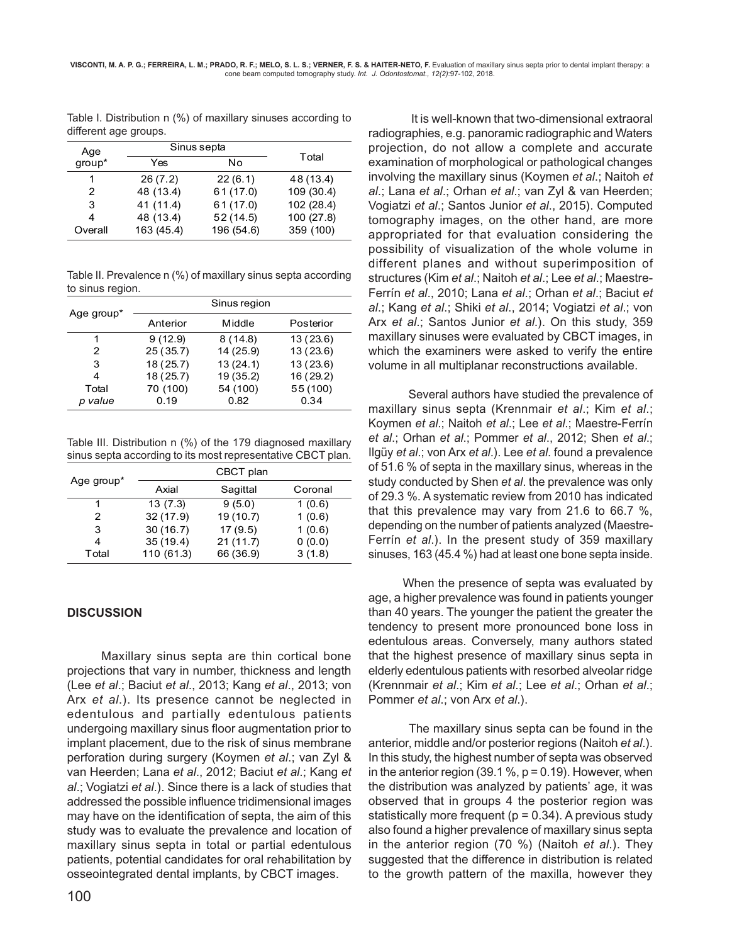Table I. Distribution n (%) of maxillary sinuses according to different age groups.

| Age<br>group* | Sinus septa |            |            |
|---------------|-------------|------------|------------|
|               | Yes         | Nο         | Total      |
| 1             | 26(7.2)     | 22(6.1)    | 48 (13.4)  |
| 2             | 48 (13.4)   | 61 (17.0)  | 109 (30.4) |
| 3             | 41 (11.4)   | 61(17.0)   | 102 (28.4) |
| 4             | 48 (13.4)   | 52(14.5)   | 100 (27.8) |
| Overall       | 163 (45.4)  | 196 (54.6) | 359 (100)  |

Table II. Prevalence n (%) of maxillary sinus septa according to sinus region.

| Age group* | Sinus region |           |           |  |
|------------|--------------|-----------|-----------|--|
|            | Anterior     | Middle    | Posterior |  |
| 1          | 9(12.9)      | 8(14.8)   | 13(23.6)  |  |
| 2          | 25(35.7)     | 14 (25.9) | 13(23.6)  |  |
| 3          | 18 (25.7)    | 13(24.1)  | 13(23.6)  |  |
| 4          | 18(25.7)     | 19 (35.2) | 16 (29.2) |  |
| Total      | 70 (100)     | 54 (100)  | 55 (100)  |  |
| p value    | 0.19         | 0.82      | 0.34      |  |

Table III. Distribution n (%) of the 179 diagnosed maxillary sinus septa according to its most representative CBCT plan.

|            | CBCT plan  |           |         |  |
|------------|------------|-----------|---------|--|
| Age group* | Axial      | Sagittal  | Coronal |  |
|            | 13(7.3)    | 9(5.0)    | 1(0.6)  |  |
| 2          | 32(17.9)   | 19(10.7)  | 1(0.6)  |  |
| 3          | 30(16.7)   | 17(9.5)   | 1(0.6)  |  |
| 4          | 35(19.4)   | 21(11.7)  | 0(0.0)  |  |
| Total      | 110 (61.3) | 66 (36.9) | 3(1.8)  |  |

## **DISCUSSION**

Maxillary sinus septa are thin cortical bone projections that vary in number, thickness and length (Lee *et al*.; Baciut *et al*., 2013; Kang *et al*., 2013; von Arx *et al*.). Its presence cannot be neglected in edentulous and partially edentulous patients undergoing maxillary sinus floor augmentation prior to implant placement, due to the risk of sinus membrane perforation during surgery (Koymen *et al*.; van Zyl & van Heerden; Lana *et al*., 2012; Baciut *et al*.; Kang *et al*.; Vogiatzi *et al*.). Since there is a lack of studies that addressed the possible influence tridimensional images may have on the identification of septa, the aim of this study was to evaluate the prevalence and location of maxillary sinus septa in total or partial edentulous patients, potential candidates for oral rehabilitation by osseointegrated dental implants, by CBCT images.

 It is well-known that two-dimensional extraoral radiographies, e.g. panoramic radiographic and Waters projection, do not allow a complete and accurate examination of morphological or pathological changes involving the maxillary sinus (Koymen *et al*.; Naitoh *et al*.; Lana *et al*.; Orhan *et al*.; van Zyl & van Heerden; Vogiatzi *et al*.; Santos Junior *et al*., 2015). Computed tomography images, on the other hand, are more appropriated for that evaluation considering the possibility of visualization of the whole volume in different planes and without superimposition of structures (Kim *et al*.; Naitoh *et al*.; Lee *et al*.; Maestre-Ferrín *et al*., 2010; Lana *et al*.; Orhan *et al*.; Baciut *et al*.; Kang *et al*.; Shiki *et al*., 2014; Vogiatzi *et al*.; von Arx *et al*.; Santos Junior *et al*.). On this study, 359 maxillary sinuses were evaluated by CBCT images, in which the examiners were asked to verify the entire volume in all multiplanar reconstructions available.

 Several authors have studied the prevalence of maxillary sinus septa (Krennmair *et al*.; Kim *et al*.; Koymen *et al*.; Naitoh *et al*.; Lee *et al*.; Maestre-Ferrín *et al*.; Orhan *et al*.; Pommer *et al*., 2012; Shen *et al*.; Ilgüy *et al*.; von Arx *et al*.). Lee *et al*. found a prevalence of 51.6 % of septa in the maxillary sinus, whereas in the study conducted by Shen *et al*. the prevalence was only of 29.3 %. A systematic review from 2010 has indicated that this prevalence may vary from 21.6 to 66.7 %, depending on the number of patients analyzed (Maestre-Ferrín *et al*.). In the present study of 359 maxillary sinuses, 163 (45.4 %) had at least one bone septa inside.

When the presence of septa was evaluated by age, a higher prevalence was found in patients younger than 40 years. The younger the patient the greater the tendency to present more pronounced bone loss in edentulous areas. Conversely, many authors stated that the highest presence of maxillary sinus septa in elderly edentulous patients with resorbed alveolar ridge (Krennmair *et al*.; Kim *et al*.; Lee *et al*.; Orhan *et al*.; Pommer *et al*.; von Arx *et al*.).

 The maxillary sinus septa can be found in the anterior, middle and/or posterior regions (Naitoh *et al*.). In this study, the highest number of septa was observed in the anterior region (39.1 %,  $p = 0.19$ ). However, when the distribution was analyzed by patients' age, it was observed that in groups 4 the posterior region was statistically more frequent ( $p = 0.34$ ). A previous study also found a higher prevalence of maxillary sinus septa in the anterior region (70 %) (Naitoh *et al*.). They suggested that the difference in distribution is related to the growth pattern of the maxilla, however they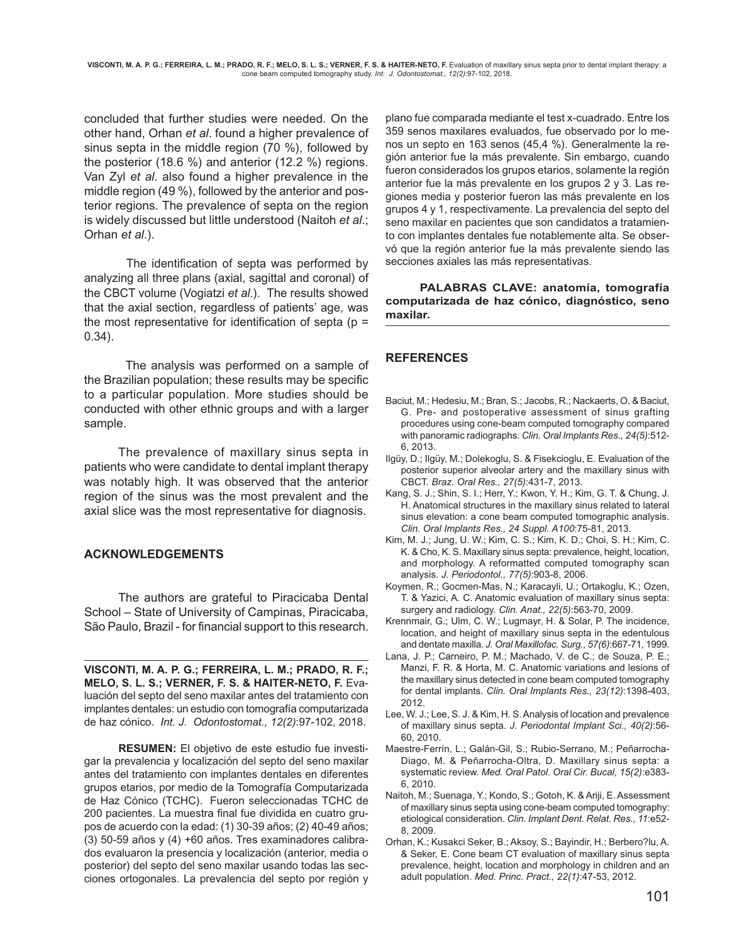concluded that further studies were needed. On the other hand, Orhan *et al*. found a higher prevalence of sinus septa in the middle region (70 %), followed by the posterior (18.6 %) and anterior (12.2 %) regions. Van Zyl *et al*. also found a higher prevalence in the middle region (49 %), followed by the anterior and posterior regions. The prevalence of septa on the region is widely discussed but little understood (Naitoh *et al*.; Orhan *et al*.).

 The identification of septa was performed by analyzing all three plans (axial, sagittal and coronal) of the CBCT volume (Vogiatzi *et al*.). The results showed that the axial section, regardless of patients' age, was the most representative for identification of septa ( $p =$ 0.34).

 The analysis was performed on a sample of the Brazilian population; these results may be specific to a particular population. More studies should be conducted with other ethnic groups and with a larger sample.

The prevalence of maxillary sinus septa in patients who were candidate to dental implant therapy was notably high. It was observed that the anterior region of the sinus was the most prevalent and the axial slice was the most representative for diagnosis.

## **ACKNOWLEDGEMENTS**

The authors are grateful to Piracicaba Dental School – State of University of Campinas, Piracicaba, São Paulo, Brazil - for financial support to this research.

**VISCONTI, M. A. P. G.; FERREIRA, L. M.; PRADO, R. F.; MELO, S. L. S.; VERNER, F. S. & HAITER-NETO, F.** Evaluación del septo del seno maxilar antes del tratamiento con implantes dentales: un estudio con tomografía computarizada de haz cónico. *Int. J. Odontostomat., 12(2)*:97-102, 2018.

**RESUMEN:** El objetivo de este estudio fue investigar la prevalencia y localización del septo del seno maxilar antes del tratamiento con implantes dentales en diferentes grupos etarios, por medio de la Tomografía Computarizada de Haz Cónico (TCHC). Fueron seleccionadas TCHC de 200 pacientes. La muestra final fue dividida en cuatro grupos de acuerdo con la edad: (1) 30-39 años; (2) 40-49 años; (3) 50-59 años y (4) +60 años. Tres examinadores calibrados evaluaron la presencia y localización (anterior, media o posterior) del septo del seno maxilar usando todas las secciones ortogonales. La prevalencia del septo por región y plano fue comparada mediante el test x-cuadrado. Entre los 359 senos maxilares evaluados, fue observado por lo menos un septo en 163 senos (45,4 %). Generalmente la región anterior fue la más prevalente. Sin embargo, cuando fueron considerados los grupos etarios, solamente la región anterior fue la más prevalente en los grupos 2 y 3. Las regiones media y posterior fueron las más prevalente en los grupos 4 y 1, respectivamente. La prevalencia del septo del seno maxilar en pacientes que son candidatos a tratamiento con implantes dentales fue notablemente alta. Se observó que la región anterior fue la más prevalente siendo las secciones axiales las más representativas.

**PALABRAS CLAVE: anatomía, tomografía computarizada de haz cónico, diagnóstico, seno maxilar.**

## **REFERENCES**

- Baciut, M.; Hedesiu, M.; Bran, S.; Jacobs, R.; Nackaerts, O. & Baciut, G. Pre- and postoperative assessment of sinus grafting procedures using cone-beam computed tomography compared with panoramic radiographs. *Clin. Oral Implants Res., 24(5)*:512- 6, 2013.
- Ilgüy, D.; Ilgüy, M.; Dolekoglu, S. & Fisekcioglu, E. Evaluation of the posterior superior alveolar artery and the maxillary sinus with CBCT. *Braz. Oral Res., 27(5)*:431-7, 2013.
- Kang, S. J.; Shin, S. I.; Herr, Y.; Kwon, Y. H.; Kim, G. T. & Chung, J. H. Anatomical structures in the maxillary sinus related to lateral sinus elevation: a cone beam computed tomographic analysis. *Clin. Oral Implants Res., 24 Suppl. A100*:75-81, 2013.
- Kim, M. J.; Jung, U. W.; Kim, C. S.; Kim, K. D.; Choi, S. H.; Kim, C. K. & Cho, K. S. Maxillary sinus septa: prevalence, height, location, and morphology. A reformatted computed tomography scan analysis. *J. Periodontol., 77(5)*:903-8, 2006.
- Koymen, R.; Gocmen-Mas, N.; Karacayli, U.; Ortakoglu, K.; Ozen, T. & Yazici, A. C. Anatomic evaluation of maxillary sinus septa: surgery and radiology. *Clin. Anat., 22(5)*:563-70, 2009.
- Krennmair, G.; Ulm, C. W.; Lugmayr, H. & Solar, P. The incidence, location, and height of maxillary sinus septa in the edentulous and dentate maxilla. *J. Oral Maxillofac. Surg., 57(6)*:667-71, 1999.
- Lana, J. P.; Carneiro, P. M.; Machado, V. de C.; de Souza, P. E.; Manzi, F. R. & Horta, M. C. Anatomic variations and lesions of the maxillary sinus detected in cone beam computed tomography for dental implants. *Clin. Oral Implants Res., 23(12)*:1398-403, 2012.
- Lee, W. J.; Lee, S. J. & Kim, H. S. Analysis of location and prevalence of maxillary sinus septa. *J. Periodontal Implant Sci., 40(2)*:56- 60, 2010.
- Maestre-Ferrín, L.; Galán-Gil, S.; Rubio-Serrano, M.; Peñarrocha-Diago, M. & Peñarrocha-Oltra, D. Maxillary sinus septa: a systematic review. *Med. Oral Patol. Oral Cir. Bucal, 15(2)*:e383- 6, 2010.
- Naitoh, M.; Suenaga, Y.; Kondo, S.; Gotoh, K. & Ariji, E. Assessment of maxillary sinus septa using cone-beam computed tomography: etiological consideration. *Clin. Implant Dent. Relat. Res., 11*:e52- 8, 2009.
- Orhan, K.; Kusakci Seker, B.; Aksoy, S.; Bayindir, H.; Berbero?lu, A. & Seker, E. Cone beam CT evaluation of maxillary sinus septa prevalence, height, location and morphology in children and an adult population. *Med. Princ. Pract., 22(1)*:47-53, 2012.